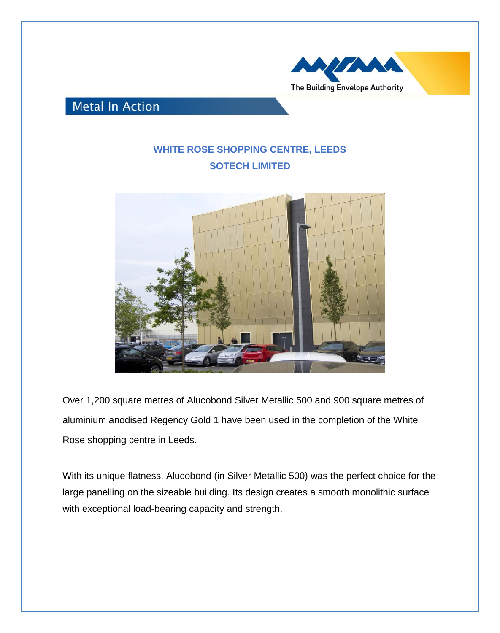

## **Metal In Action**

## **WHITE ROSE SHOPPING CENTRE, LEEDS SOTECH LIMITED**



Over 1,200 square metres of Alucobond Silver Metallic 500 and 900 square metres of aluminium anodised Regency Gold 1 have been used in the completion of the White Rose shopping centre in Leeds.

With its unique flatness, Alucobond (in Silver Metallic 500) was the perfect choice for the large panelling on the sizeable building. Its design creates a smooth monolithic surface with exceptional load-bearing capacity and strength.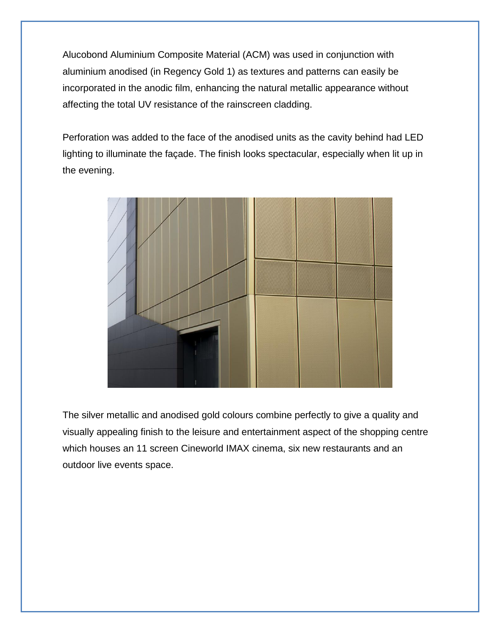Alucobond Aluminium Composite Material (ACM) was used in conjunction with aluminium anodised (in Regency Gold 1) as textures and patterns can easily be incorporated in the anodic film, enhancing the natural metallic appearance without affecting the total UV resistance of the rainscreen cladding.

Perforation was added to the face of the anodised units as the cavity behind had LED lighting to illuminate the façade. The finish looks spectacular, especially when lit up in the evening.



The silver metallic and anodised gold colours combine perfectly to give a quality and visually appealing finish to the leisure and entertainment aspect of the shopping centre which houses an 11 screen Cineworld IMAX cinema, six new restaurants and an outdoor live events space.